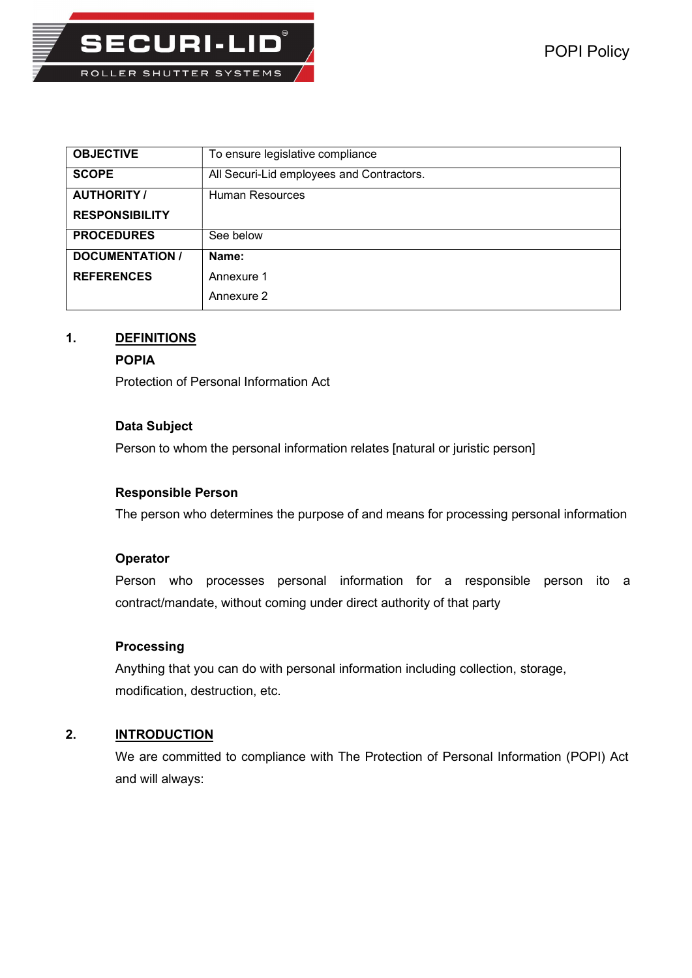

| <b>OBJECTIVE</b>       | To ensure legislative compliance          |
|------------------------|-------------------------------------------|
| <b>SCOPE</b>           | All Securi-Lid employees and Contractors. |
| <b>AUTHORITY /</b>     | Human Resources                           |
| <b>RESPONSIBILITY</b>  |                                           |
| <b>PROCEDURES</b>      | See below                                 |
| <b>DOCUMENTATION /</b> | Name:                                     |
| <b>REFERENCES</b>      | Annexure 1                                |
|                        | Annexure 2                                |

# 1. DEFINITIONS

### POPIA

Protection of Personal Information Act

# Data Subject

Person to whom the personal information relates [natural or juristic person]

# Responsible Person

The person who determines the purpose of and means for processing personal information

### **Operator**

Person who processes personal information for a responsible person ito a contract/mandate, without coming under direct authority of that party

## **Processing**

Anything that you can do with personal information including collection, storage, modification, destruction, etc.

# 2. INTRODUCTION

We are committed to compliance with The Protection of Personal Information (POPI) Act and will always: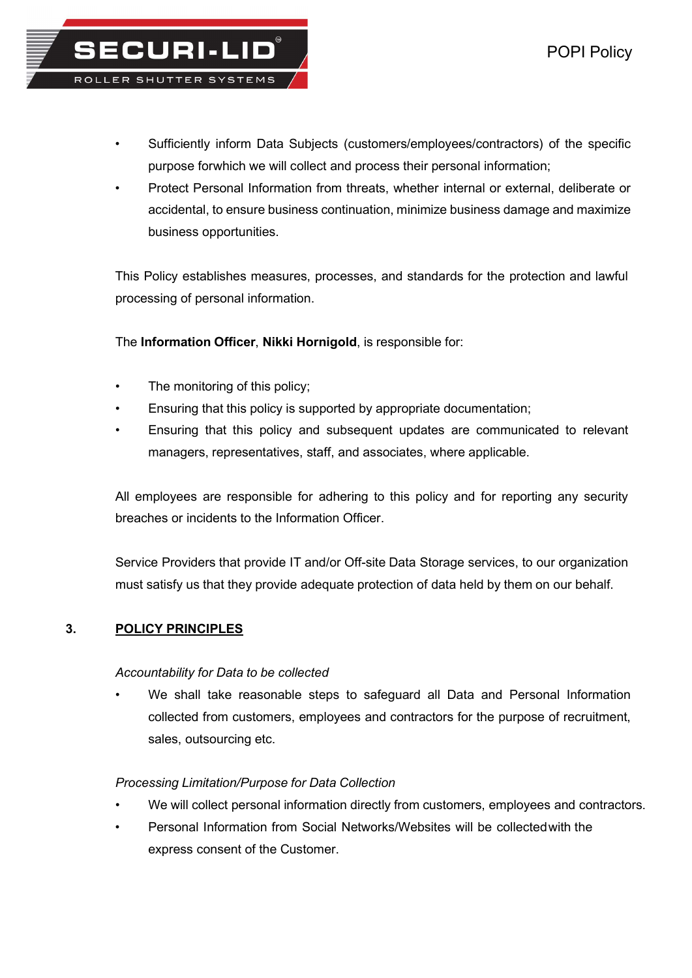- Sufficiently inform Data Subjects (customers/employees/contractors) of the specific purpose for which we will collect and process their personal information;
- Protect Personal Information from threats, whether internal or external, deliberate or accidental, to ensure business continuation, minimize business damage and maximize business opportunities.

This Policy establishes measures, processes, and standards for the protection and lawful processing of personal information.

The Information Officer, Nikki Hornigold, is responsible for:

The monitoring of this policy;

**SECURI-LID®** 

ROLLER SHUTTER SYSTEMS

- Ensuring that this policy is supported by appropriate documentation;
- Ensuring that this policy and subsequent updates are communicated to relevant managers, representatives, staff, and associates, where applicable.

All employees are responsible for adhering to this policy and for reporting any security breaches or incidents to the Information Officer.

Service Providers that provide IT and/or Off-site Data Storage services, to our organization must satisfy us that they provide adequate protection of data held by them on our behalf.

### 3. POLICY PRINCIPLES

### Accountability for Data to be collected

• We shall take reasonable steps to safeguard all Data and Personal Information collected from customers, employees and contractors for the purpose of recruitment, sales, outsourcing etc.

### Processing Limitation/Purpose for Data Collection

- We will collect personal information directly from customers, employees and contractors.
- Personal Information from Social Networks/Websites will be collected with the express consent of the Customer.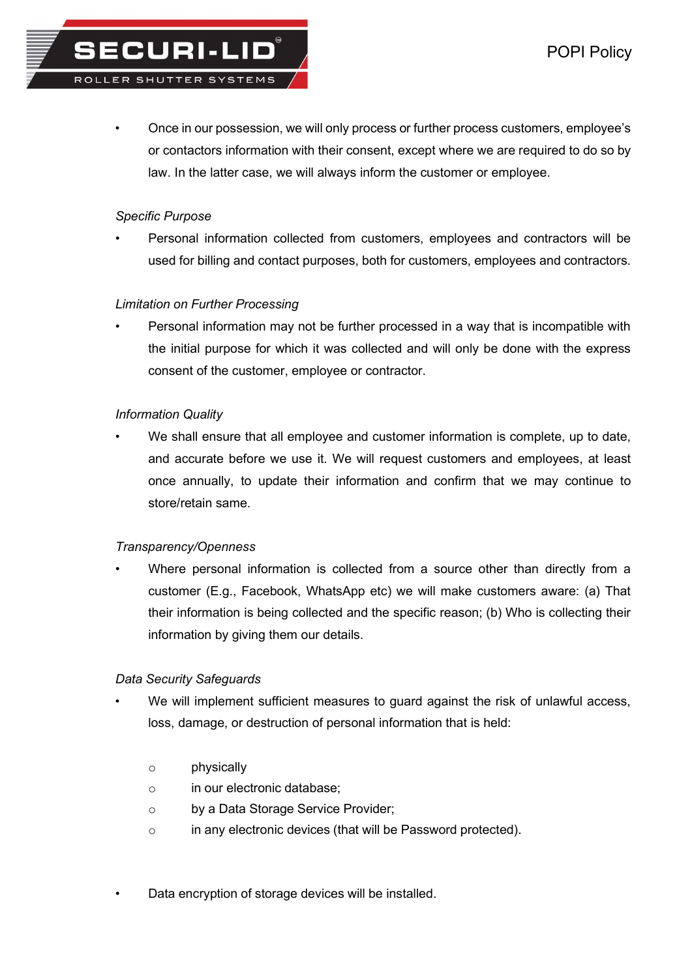## Specific Purpose

**SECURI-LID** 

ROLLER SHUTTER SYSTEMS

• Personal information collected from customers, employees and contractors will be used for billing and contact purposes, both for customers, employees and contractors.

# Limitation on Further Processing

Personal information may not be further processed in a way that is incompatible with the initial purpose for which it was collected and will only be done with the express consent of the customer, employee or contractor.

### Information Quality

• We shall ensure that all employee and customer information is complete, up to date, and accurate before we use it. We will request customers and employees, at least once annually, to update their information and confirm that we may continue to store/retain same.

### Transparency/Openness

Where personal information is collected from a source other than directly from a customer (E.g., Facebook, WhatsApp etc) we will make customers aware: (a) That their information is being collected and the specific reason; (b) Who is collecting their information by giving them our details.

### Data Security Safeguards

- We will implement sufficient measures to guard against the risk of unlawful access, loss, damage, or destruction of personal information that is held:
	- o physically
	- o in our electronic database;
	- o by a Data Storage Service Provider;
	- o in any electronic devices (that will be Password protected).
- Data encryption of storage devices will be installed.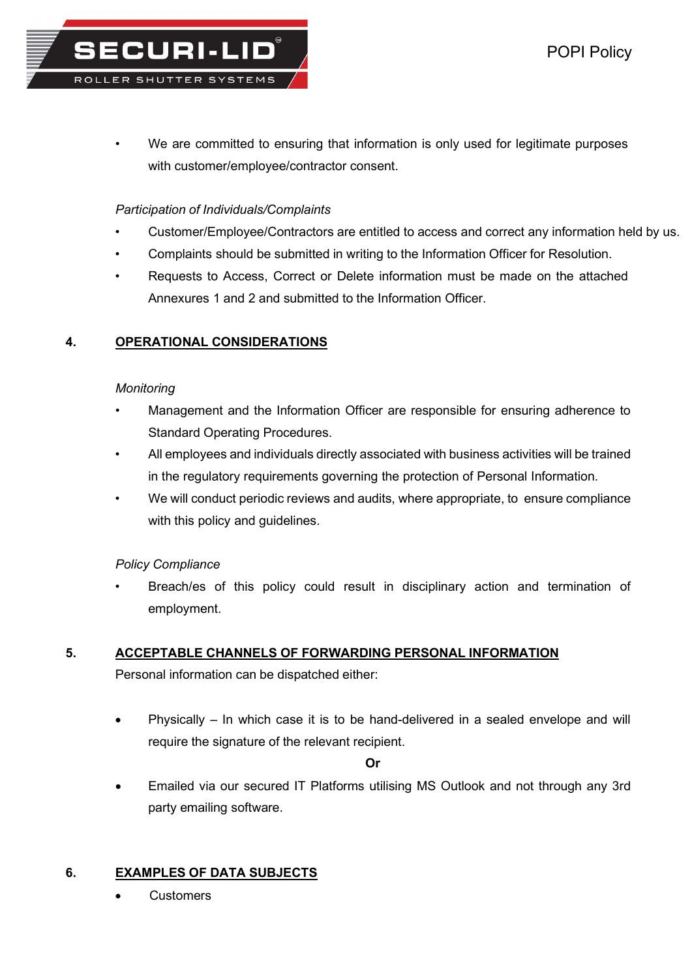We are committed to ensuring that information is only used for legitimate purposes with customer/employee/contractor consent.

# Participation of Individuals/Complaints

**SECURI-LID** 

ROLLER SHUTTER SYSTEMS

- Customer/Employee/Contractors are entitled to access and correct any information held by us.
- Complaints should be submitted in writing to the Information Officer for Resolution.
- Requests to Access, Correct or Delete information must be made on the attached Annexures 1 and 2 and submitted to the Information Officer.

# 4. OPERATIONAL CONSIDERATIONS

### **Monitoring**

- Management and the Information Officer are responsible for ensuring adherence to Standard Operating Procedures.
- All employees and individuals directly associated with business activities will be trained in the regulatory requirements governing the protection of Personal Information.
- We will conduct periodic reviews and audits, where appropriate, to ensure compliance with this policy and guidelines.

### Policy Compliance

Breach/es of this policy could result in disciplinary action and termination of employment.

# 5. ACCEPTABLE CHANNELS OF FORWARDING PERSONAL INFORMATION

Personal information can be dispatched either:

 Physically – In which case it is to be hand-delivered in a sealed envelope and will require the signature of the relevant recipient.

Or

 Emailed via our secured IT Platforms utilising MS Outlook and not through any 3rd party emailing software.

### 6. EXAMPLES OF DATA SUBJECTS

**Customers**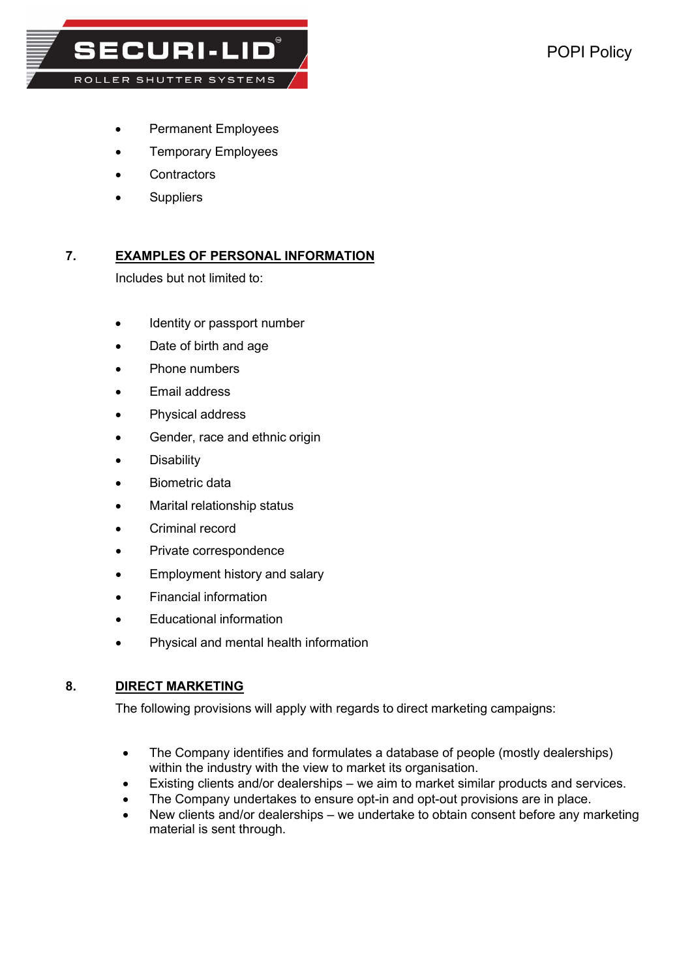**SECURI-LID®** ROLLER SHUTTER SYSTEMS

- Permanent Employees
- Temporary Employees
- **Contractors**
- **Suppliers**

# 7. EXAMPLES OF PERSONAL INFORMATION

Includes but not limited to:

- Identity or passport number
- Date of birth and age
- Phone numbers
- Email address
- Physical address
- Gender, race and ethnic origin
- **Disability**
- Biometric data
- Marital relationship status
- Criminal record
- Private correspondence
- Employment history and salary
- Financial information
- Educational information
- Physical and mental health information

### 8. DIRECT MARKETING

The following provisions will apply with regards to direct marketing campaigns:

- The Company identifies and formulates a database of people (mostly dealerships) within the industry with the view to market its organisation.
- Existing clients and/or dealerships we aim to market similar products and services.
- The Company undertakes to ensure opt-in and opt-out provisions are in place.
- New clients and/or dealerships we undertake to obtain consent before any marketing material is sent through.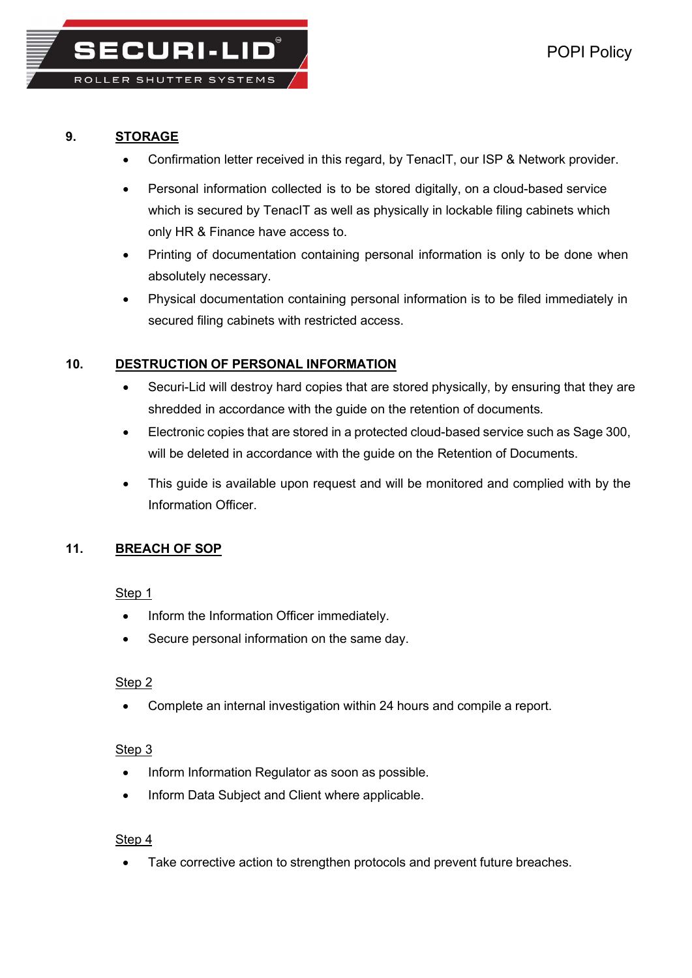

**SECURI-LID** 

# 9. STORAGE

- Confirmation letter received in this regard, by TenacIT, our ISP & Network provider.
- Personal information collected is to be stored digitally, on a cloud-based service which is secured by TenacIT as well as physically in lockable filing cabinets which only HR & Finance have access to.
- Printing of documentation containing personal information is only to be done when absolutely necessary.
- Physical documentation containing personal information is to be filed immediately in secured filing cabinets with restricted access.

# 10. DESTRUCTION OF PERSONAL INFORMATION

- Securi-Lid will destroy hard copies that are stored physically, by ensuring that they are shredded in accordance with the guide on the retention of documents.
- Electronic copies that are stored in a protected cloud-based service such as Sage 300, will be deleted in accordance with the guide on the Retention of Documents.
- This guide is available upon request and will be monitored and complied with by the Information Officer.

# 11. BREACH OF SOP

# Step 1

- Inform the Information Officer immediately.
- Secure personal information on the same day.

# Step<sub>2</sub>

Complete an internal investigation within 24 hours and compile a report.

# Step<sub>3</sub>

- Inform Information Regulator as soon as possible.
- Inform Data Subject and Client where applicable.

# Step 4

Take corrective action to strengthen protocols and prevent future breaches.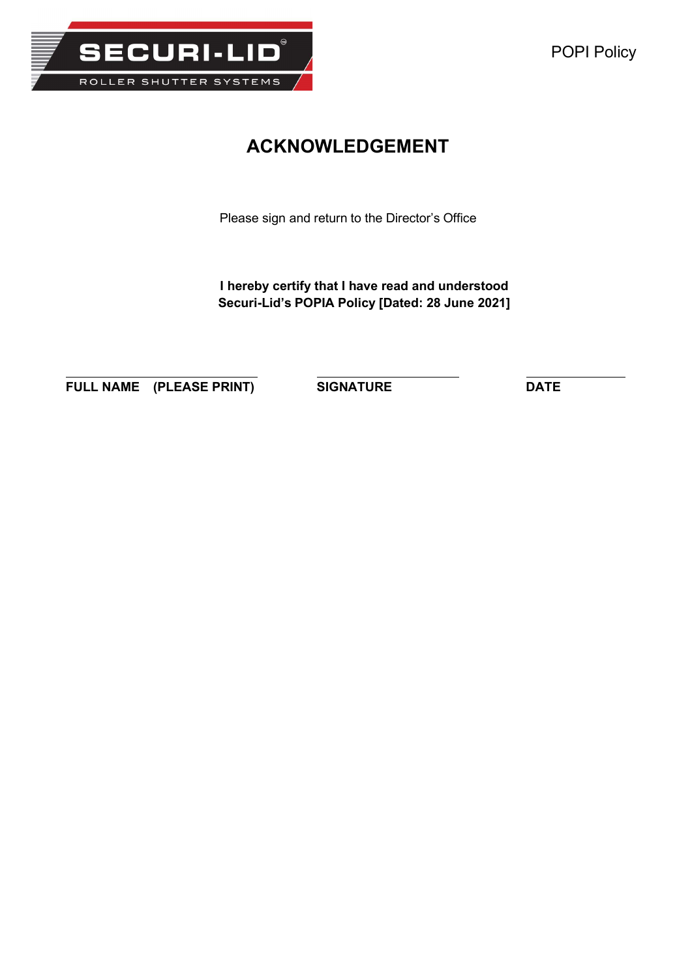

# ACKNOWLEDGEMENT

Please sign and return to the Director's Office

I hereby certify that I have read and understood Securi-Lid's POPIA Policy [Dated: 28 June 2021]

FULL NAME (PLEASE PRINT) SIGNATURE DATE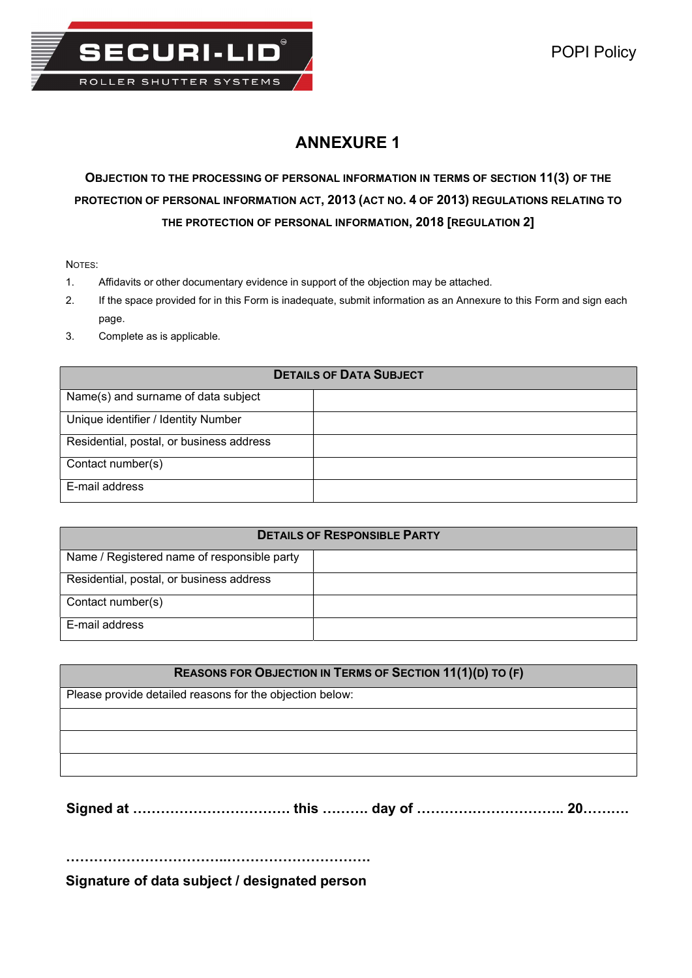

# ANNEXURE 1

# OBJECTION TO THE PROCESSING OF PERSONAL INFORMATION IN TERMS OF SECTION 11(3) OF THE PROTECTION OF PERSONAL INFORMATION ACT, 2013 (ACT NO. 4 OF 2013) REGULATIONS RELATING TO THE PROTECTION OF PERSONAL INFORMATION, 2018 [REGULATION 2]

NOTES:

- 1. Affidavits or other documentary evidence in support of the objection may be attached.
- 2. If the space provided for in this Form is inadequate, submit information as an Annexure to this Form and sign each page.
- 3. Complete as is applicable.

## DETAILS OF DATA SUBJECT

| Name(s) and surname of data subject      |  |
|------------------------------------------|--|
| Unique identifier / Identity Number      |  |
| Residential, postal, or business address |  |
| Contact number(s)                        |  |
| E-mail address                           |  |

| <b>DETAILS OF RESPONSIBLE PARTY</b>         |  |  |  |
|---------------------------------------------|--|--|--|
| Name / Registered name of responsible party |  |  |  |
| Residential, postal, or business address    |  |  |  |
| Contact number(s)                           |  |  |  |
| E-mail address                              |  |  |  |

| <b>REASONS FOR OBJECTION IN TERMS OF SECTION 11(1)(D) TO (F)</b> |  |  |
|------------------------------------------------------------------|--|--|
| Please provide detailed reasons for the objection below:         |  |  |
|                                                                  |  |  |
|                                                                  |  |  |
|                                                                  |  |  |

Signed at ……………………………. this ………. day of ………………………….. 20……….

……………………………..………………………….

Signature of data subject / designated person